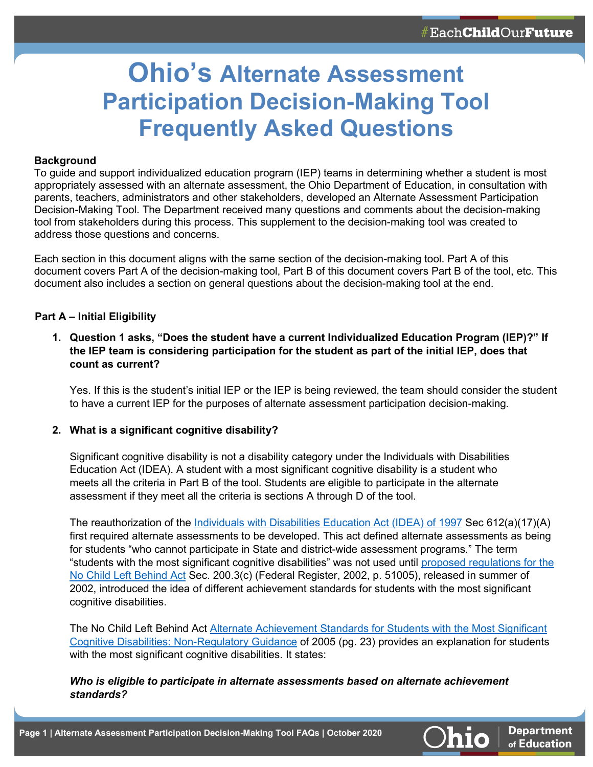**Department** of Education

# **Ohio's Alternate Assessment Participation Decision-Making Tool Frequently Asked Questions**

### **Background**

To guide and support individualized education program (IEP) teams in determining whether a student is most appropriately assessed with an alternate assessment, the Ohio Department of Education, in consultation with parents, teachers, administrators and other stakeholders, developed an Alternate Assessment Participation Decision-Making Tool. The Department received many questions and comments about the decision-making tool from stakeholders during this process. This supplement to the decision-making tool was created to address those questions and concerns.

Each section in this document aligns with the same section of the decision-making tool. Part A of this document covers Part A of the decision-making tool, Part B of this document covers Part B of the tool, etc. This document also includes a section on general questions about the decision-making tool at the end.

#### **Part A – Initial Eligibility**

**1. Question 1 asks, "Does the student have a current Individualized Education Program (IEP)?" If the IEP team is considering participation for the student as part of the initial IEP, does that count as current?**

Yes. If this is the student's initial IEP or the IEP is being reviewed, the team should consider the student to have a current IEP for the purposes of alternate assessment participation decision-making.

#### **2. What is a significant cognitive disability?**

Significant cognitive disability is not a disability category under the Individuals with Disabilities Education Act (IDEA). A student with a most significant cognitive disability is a student who meets all the criteria in Part B of the tool. Students are eligible to participate in the alternate assessment if they meet all the criteria is sections A through D of the tool.

The reauthorization of the [Individuals with Disabilities Education Act \(IDEA\) of 1997](https://www2.ed.gov/policy/speced/leg/idea/idea.pdf) Sec 612(a)(17)(A) first required alternate assessments to be developed. This act defined alternate assessments as being for students "who cannot participate in State and district-wide assessment programs." The term "students with the most significant cognitive disabilities" was not used until [proposed regulations for the](https://www.govinfo.gov/content/pkg/FR-2002-08-06/pdf/02-19539.pdf)  [No Child Left Behind Act](https://www.govinfo.gov/content/pkg/FR-2002-08-06/pdf/02-19539.pdf) Sec. 200.3(c) (Federal Register, 2002, p. 51005), released in summer of 2002, introduced the idea of different achievement standards for students with the most significant cognitive disabilities.

The No Child Left Behind Act Alternate Achievement Standards for Students with the Most Significant [Cognitive Disabilities: Non-Regulatory Guidance](https://www2.ed.gov/policy/elsec/guid/altguidance.doc) of 2005 (pg. 23) provides an explanation for students with the most significant cognitive disabilities. It states:

# *Who is eligible to participate in alternate assessments based on alternate achievement standards?*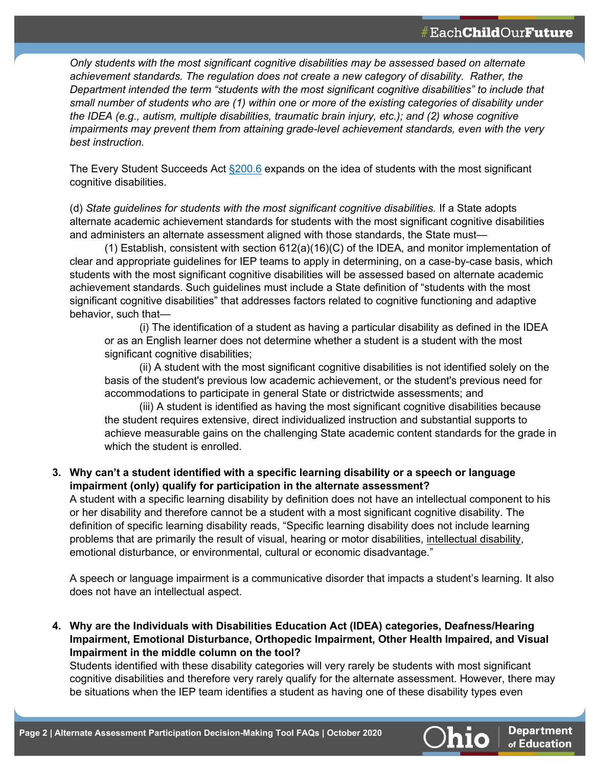**Department** of Education

*Only students with the most significant cognitive disabilities may be assessed based on alternate achievement standards. The regulation does not create a new category of disability. Rather, the Department intended the term "students with the most significant cognitive disabilities" to include that small number of students who are (1) within one or more of the existing categories of disability under the IDEA (e.g., autism, multiple disabilities, traumatic brain injury, etc.); and (2) whose cognitive impairments may prevent them from attaining grade-level achievement standards, even with the very best instruction.* 

The Every Student Succeeds Act  $\S200.6$  expands on the idea of students with the most significant cognitive disabilities.

(d) *State guidelines for students with the most significant cognitive disabilities.* If a State adopts alternate academic achievement standards for students with the most significant cognitive disabilities and administers an alternate assessment aligned with those standards, the State must—

(1) Establish, consistent with section 612(a)(16)(C) of the IDEA, and monitor implementation of clear and appropriate guidelines for IEP teams to apply in determining, on a case-by-case basis, which students with the most significant cognitive disabilities will be assessed based on alternate academic achievement standards. Such guidelines must include a State definition of "students with the most significant cognitive disabilities" that addresses factors related to cognitive functioning and adaptive behavior, such that—

(i) The identification of a student as having a particular disability as defined in the IDEA or as an English learner does not determine whether a student is a student with the most significant cognitive disabilities;

(ii) A student with the most significant cognitive disabilities is not identified solely on the basis of the student's previous low academic achievement, or the student's previous need for accommodations to participate in general State or districtwide assessments; and

(iii) A student is identified as having the most significant cognitive disabilities because the student requires extensive, direct individualized instruction and substantial supports to achieve measurable gains on the challenging State academic content standards for the grade in which the student is enrolled.

# **3. Why can't a student identified with a specific learning disability or a speech or language impairment (only) qualify for participation in the alternate assessment?**

A student with a specific learning disability by definition does not have an intellectual component to his or her disability and therefore cannot be a student with a most significant cognitive disability. The definition of specific learning disability reads, "Specific learning disability does not include learning problems that are primarily the result of visual, hearing or motor disabilities, intellectual disability, emotional disturbance, or environmental, cultural or economic disadvantage."

A speech or language impairment is a communicative disorder that impacts a student's learning. It also does not have an intellectual aspect.

**4. Why are the Individuals with Disabilities Education Act (IDEA) categories, Deafness/Hearing Impairment, Emotional Disturbance, Orthopedic Impairment, Other Health Impaired, and Visual Impairment in the middle column on the tool?**

Students identified with these disability categories will very rarely be students with most significant cognitive disabilities and therefore very rarely qualify for the alternate assessment. However, there may be situations when the IEP team identifies a student as having one of these disability types even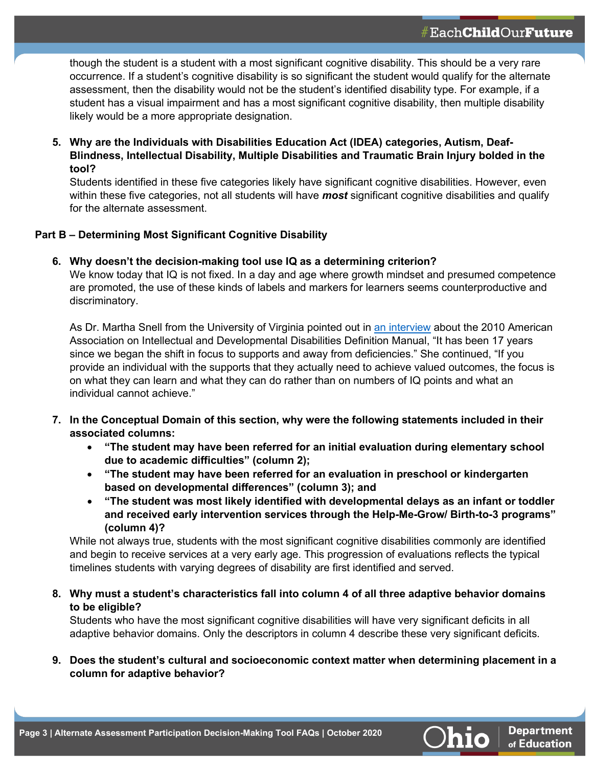though the student is a student with a most significant cognitive disability. This should be a very rare occurrence. If a student's cognitive disability is so significant the student would qualify for the alternate assessment, then the disability would not be the student's identified disability type. For example, if a student has a visual impairment and has a most significant cognitive disability, then multiple disability likely would be a more appropriate designation.

**5. Why are the Individuals with Disabilities Education Act (IDEA) categories, Autism, Deaf-Blindness, Intellectual Disability, Multiple Disabilities and Traumatic Brain Injury bolded in the tool?**

Students identified in these five categories likely have significant cognitive disabilities. However, even within these five categories, not all students will have *most* significant cognitive disabilities and qualify for the alternate assessment.

# **Part B – Determining Most Significant Cognitive Disability**

# **6. Why doesn't the decision-making tool use IQ as a determining criterion?**

We know today that IQ is not fixed. In a day and age where growth mindset and presumed competence are promoted, the use of these kinds of labels and markers for learners seems counterproductive and discriminatory.

As Dr. Martha Snell from the University of Virginia pointed out in [an interview](http://www.aaidd.org/intellectual-disability/interviews/martha-snell) about the 2010 American Association on Intellectual and Developmental Disabilities Definition Manual, "It has been 17 years since we began the shift in focus to supports and away from deficiencies." She continued, "If you provide an individual with the supports that they actually need to achieve valued outcomes, the focus is on what they can learn and what they can do rather than on numbers of IQ points and what an individual cannot achieve."

- **7. In the Conceptual Domain of this section, why were the following statements included in their associated columns:**
	- **"The student may have been referred for an initial evaluation during elementary school due to academic difficulties" (column 2);**
	- **"The student may have been referred for an evaluation in preschool or kindergarten based on developmental differences" (column 3); and**
	- **"The student was most likely identified with developmental delays as an infant or toddler and received early intervention services through the Help-Me-Grow/ Birth-to-3 programs" (column 4)?**

While not always true, students with the most significant cognitive disabilities commonly are identified and begin to receive services at a very early age. This progression of evaluations reflects the typical timelines students with varying degrees of disability are first identified and served.

**8. Why must a student's characteristics fall into column 4 of all three adaptive behavior domains to be eligible?**

Students who have the most significant cognitive disabilities will have very significant deficits in all adaptive behavior domains. Only the descriptors in column 4 describe these very significant deficits.

**9. Does the student's cultural and socioeconomic context matter when determining placement in a column for adaptive behavior?**

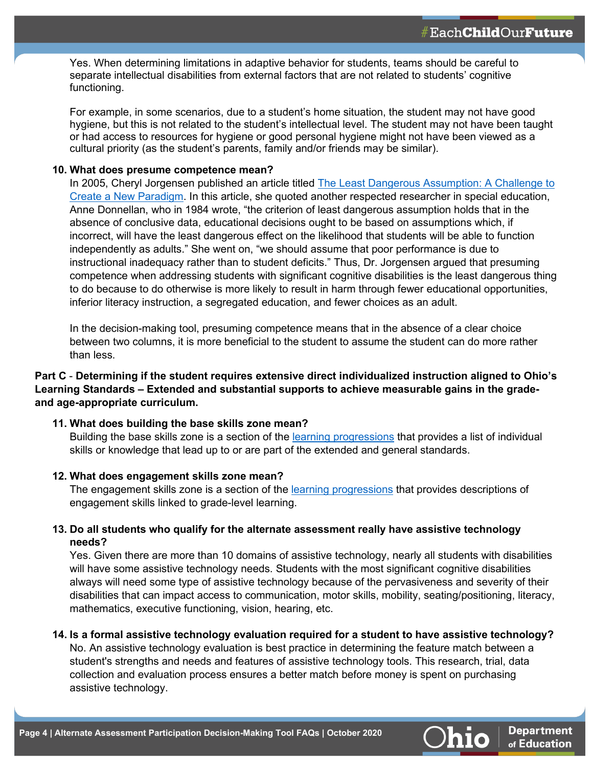Yes. When determining limitations in adaptive behavior for students, teams should be careful to separate intellectual disabilities from external factors that are not related to students' cognitive functioning.

For example, in some scenarios, due to a student's home situation, the student may not have good hygiene, but this is not related to the student's intellectual level. The student may not have been taught or had access to resources for hygiene or good personal hygiene might not have been viewed as a cultural priority (as the student's parents, family and/or friends may be similar).

## **10. What does presume competence mean?**

In 2005, Cheryl Jorgensen published an article titled [The Least Dangerous Assumption: A Challenge to](http://www.uwosh.edu/coehs/cmagproject/readings/documents/Least_Dangerous_Assumption.pdf)  [Create a New Paradigm.](http://www.uwosh.edu/coehs/cmagproject/readings/documents/Least_Dangerous_Assumption.pdf) In this article, she quoted another respected researcher in special education, Anne Donnellan, who in 1984 wrote, "the criterion of least dangerous assumption holds that in the absence of conclusive data, educational decisions ought to be based on assumptions which, if incorrect, will have the least dangerous effect on the likelihood that students will be able to function independently as adults." She went on, "we should assume that poor performance is due to instructional inadequacy rather than to student deficits." Thus, Dr. Jorgensen argued that presuming competence when addressing students with significant cognitive disabilities is the least dangerous thing to do because to do otherwise is more likely to result in harm through fewer educational opportunities, inferior literacy instruction, a segregated education, and fewer choices as an adult.

In the decision-making tool, presuming competence means that in the absence of a clear choice between two columns, it is more beneficial to the student to assume the student can do more rather than less.

# **Part C** - **Determining if the student requires extensive direct individualized instruction aligned to Ohio's Learning Standards – Extended and substantial supports to achieve measurable gains in the gradeand age-appropriate curriculum.**

**11. What does building the base skills zone mean?**

Building the base skills zone is a section of the [learning progressions](https://www.ocali.org/project/unit_planning/page/unit_standards) that provides a list of individual skills or knowledge that lead up to or are part of the extended and general standards.

#### **12. What does engagement skills zone mean?**

The engagement skills zone is a section of the [learning progressions](https://www.ocali.org/project/unit_planning/page/unit_standards) that provides descriptions of engagement skills linked to grade-level learning.

# **13. Do all students who qualify for the alternate assessment really have assistive technology needs?**

Yes. Given there are more than 10 domains of assistive technology, nearly all students with disabilities will have some assistive technology needs. Students with the most significant cognitive disabilities always will need some type of assistive technology because of the pervasiveness and severity of their disabilities that can impact access to communication, motor skills, mobility, seating/positioning, literacy, mathematics, executive functioning, vision, hearing, etc.

#### **14. Is a formal assistive technology evaluation required for a student to have assistive technology?**

No. An assistive technology evaluation is best practice in determining the feature match between a student's strengths and needs and features of assistive technology tools. This research, trial, data collection and evaluation process ensures a better match before money is spent on purchasing assistive technology.

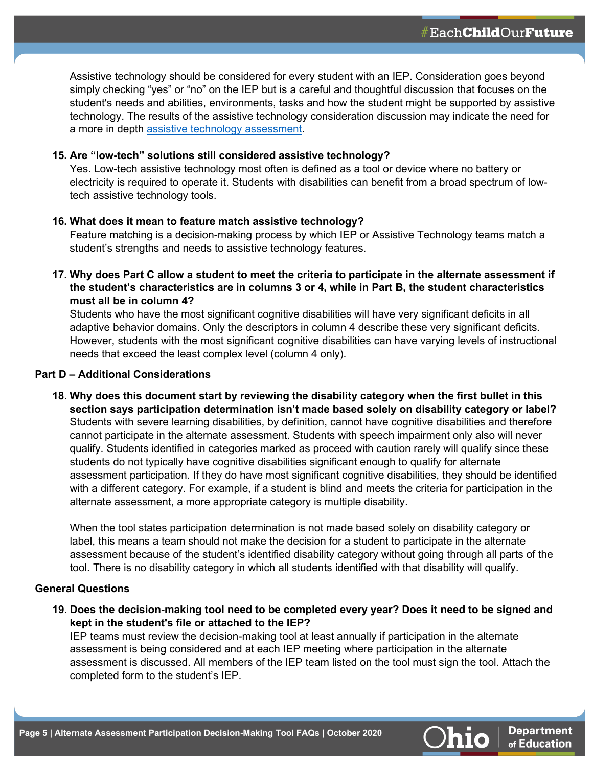**Department** of Education

Assistive technology should be considered for every student with an IEP. Consideration goes beyond simply checking "yes" or "no" on the IEP but is a careful and thoughtful discussion that focuses on the student's needs and abilities, environments, tasks and how the student might be supported by assistive technology. The results of the assistive technology consideration discussion may indicate the need for a more in depth [assistive technology](https://ataem.org/at-assessment) assessment.

### **15. Are "low-tech" solutions still considered assistive technology?**

Yes. Low-tech assistive technology most often is defined as a tool or device where no battery or electricity is required to operate it. Students with disabilities can benefit from a broad spectrum of lowtech assistive technology tools.

## **16. What does it mean to feature match assistive technology?**

Feature matching is a decision-making process by which IEP or Assistive Technology teams match a student's strengths and needs to assistive technology features.

**17. Why does Part C allow a student to meet the criteria to participate in the alternate assessment if the student's characteristics are in columns 3 or 4, while in Part B, the student characteristics must all be in column 4?**

Students who have the most significant cognitive disabilities will have very significant deficits in all adaptive behavior domains. Only the descriptors in column 4 describe these very significant deficits. However, students with the most significant cognitive disabilities can have varying levels of instructional needs that exceed the least complex level (column 4 only).

## **Part D – Additional Considerations**

**18. Why does this document start by reviewing the disability category when the first bullet in this section says participation determination isn't made based solely on disability category or label?** Students with severe learning disabilities, by definition, cannot have cognitive disabilities and therefore cannot participate in the alternate assessment. Students with speech impairment only also will never qualify. Students identified in categories marked as proceed with caution rarely will qualify since these students do not typically have cognitive disabilities significant enough to qualify for alternate assessment participation. If they do have most significant cognitive disabilities, they should be identified with a different category. For example, if a student is blind and meets the criteria for participation in the alternate assessment, a more appropriate category is multiple disability.

When the tool states participation determination is not made based solely on disability category or label, this means a team should not make the decision for a student to participate in the alternate assessment because of the student's identified disability category without going through all parts of the tool. There is no disability category in which all students identified with that disability will qualify.

# **General Questions**

**19. Does the decision-making tool need to be completed every year? Does it need to be signed and kept in the student's file or attached to the IEP?**

IEP teams must review the decision-making tool at least annually if participation in the alternate assessment is being considered and at each IEP meeting where participation in the alternate assessment is discussed. All members of the IEP team listed on the tool must sign the tool. Attach the completed form to the student's IEP.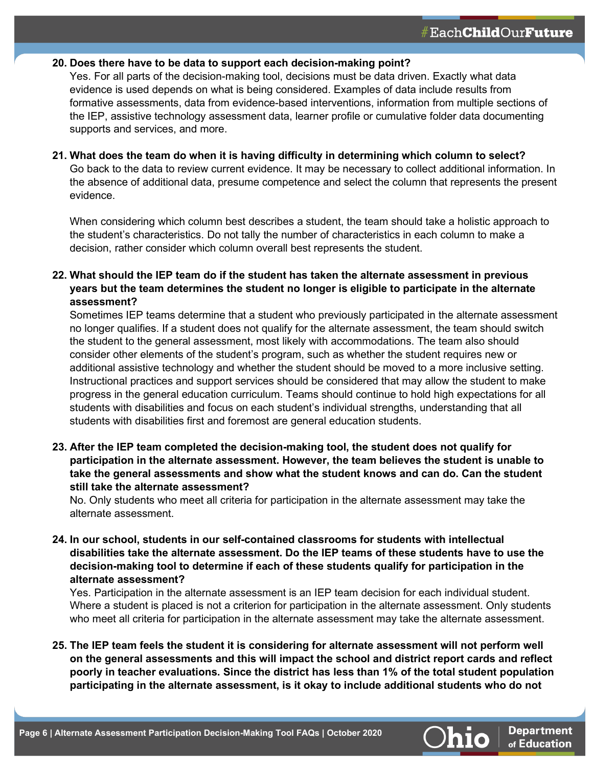### **20. Does there have to be data to support each decision-making point?**

Yes. For all parts of the decision-making tool, decisions must be data driven. Exactly what data evidence is used depends on what is being considered. Examples of data include results from formative assessments, data from evidence-based interventions, information from multiple sections of the IEP, assistive technology assessment data, learner profile or cumulative folder data documenting supports and services, and more.

### **21. What does the team do when it is having difficulty in determining which column to select?**

Go back to the data to review current evidence. It may be necessary to collect additional information. In the absence of additional data, presume competence and select the column that represents the present evidence.

When considering which column best describes a student, the team should take a holistic approach to the student's characteristics. Do not tally the number of characteristics in each column to make a decision, rather consider which column overall best represents the student.

# **22. What should the IEP team do if the student has taken the alternate assessment in previous years but the team determines the student no longer is eligible to participate in the alternate assessment?**

Sometimes IEP teams determine that a student who previously participated in the alternate assessment no longer qualifies. If a student does not qualify for the alternate assessment, the team should switch the student to the general assessment, most likely with accommodations. The team also should consider other elements of the student's program, such as whether the student requires new or additional assistive technology and whether the student should be moved to a more inclusive setting. Instructional practices and support services should be considered that may allow the student to make progress in the general education curriculum. Teams should continue to hold high expectations for all students with disabilities and focus on each student's individual strengths, understanding that all students with disabilities first and foremost are general education students.

**23. After the IEP team completed the decision-making tool, the student does not qualify for participation in the alternate assessment. However, the team believes the student is unable to take the general assessments and show what the student knows and can do. Can the student still take the alternate assessment?**

No. Only students who meet all criteria for participation in the alternate assessment may take the alternate assessment.

**24. In our school, students in our self-contained classrooms for students with intellectual disabilities take the alternate assessment. Do the IEP teams of these students have to use the decision-making tool to determine if each of these students qualify for participation in the alternate assessment?**

Yes. Participation in the alternate assessment is an IEP team decision for each individual student. Where a student is placed is not a criterion for participation in the alternate assessment. Only students who meet all criteria for participation in the alternate assessment may take the alternate assessment.

**25. The IEP team feels the student it is considering for alternate assessment will not perform well on the general assessments and this will impact the school and district report cards and reflect poorly in teacher evaluations. Since the district has less than 1% of the total student population participating in the alternate assessment, is it okay to include additional students who do not**